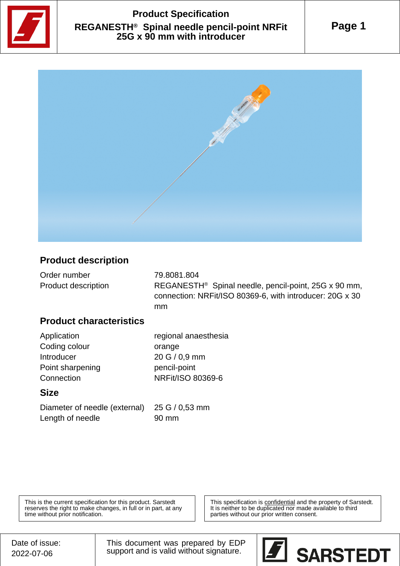

## **Product Specification REGANESTH® Spinal needle pencil-point NRFit 25G x 90 mm with introducer**



#### **Product description**

| Order number        | 79.8081.804                                                      |
|---------------------|------------------------------------------------------------------|
| Product description | REGANESTH <sup>®</sup> Spinal needle, pencil-point, 25G x 90 mm, |
|                     | connection: NRFit/ISO 80369-6, with introducer: 20G x 30         |
|                     | mm                                                               |

#### **Product characteristics**

| regional anaesthesia |
|----------------------|
| orange               |
| 20 G / 0,9 mm        |
| pencil-point         |
| NRFit/ISO 80369-6    |
|                      |

#### **Size**

| Diameter of needle (external) 25 G / C |       |
|----------------------------------------|-------|
| Length of needle                       | 90 mm |

0,53 mm

This is the current specification for this product. Sarstedt reserves the right to make changes, in full or in part, at any time without prior notification.

This specification is **confidential** and the property of Sarstedt. It is neither to be duplicated nor made available to third parties without our prior written consent.

This document was prepared by EDP support and is valid without signature.